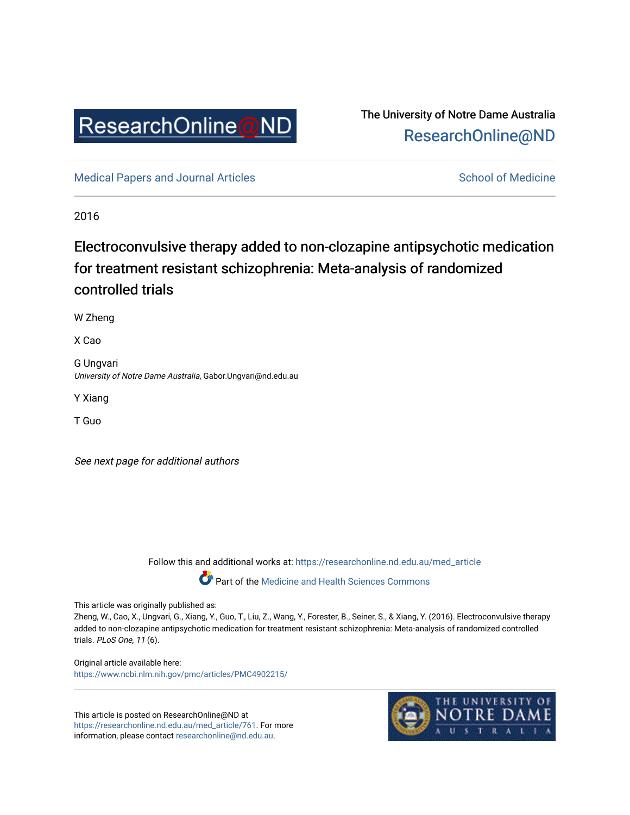

# The University of Notre Dame Australia [ResearchOnline@ND](https://researchonline.nd.edu.au/)

[Medical Papers and Journal Articles](https://researchonline.nd.edu.au/med_article) and School of Medicine

2016

# Electroconvulsive therapy added to non-clozapine antipsychotic medication for treatment resistant schizophrenia: Meta-analysis of randomized controlled trials

W Zheng

X Cao

G Ungvari University of Notre Dame Australia, Gabor.Ungvari@nd.edu.au

Y Xiang

T Guo

See next page for additional authors

Follow this and additional works at: [https://researchonline.nd.edu.au/med\\_article](https://researchonline.nd.edu.au/med_article?utm_source=researchonline.nd.edu.au%2Fmed_article%2F761&utm_medium=PDF&utm_campaign=PDFCoverPages) 

Part of the [Medicine and Health Sciences Commons](http://network.bepress.com/hgg/discipline/648?utm_source=researchonline.nd.edu.au%2Fmed_article%2F761&utm_medium=PDF&utm_campaign=PDFCoverPages)

This article was originally published as:

Zheng, W., Cao, X., Ungvari, G., Xiang, Y., Guo, T., Liu, Z., Wang, Y., Forester, B., Seiner, S., & Xiang, Y. (2016). Electroconvulsive therapy added to non-clozapine antipsychotic medication for treatment resistant schizophrenia: Meta-analysis of randomized controlled trials. PLoS One, 11 (6).

Original article available here: <https://www.ncbi.nlm.nih.gov/pmc/articles/PMC4902215/>

This article is posted on ResearchOnline@ND at [https://researchonline.nd.edu.au/med\\_article/761](https://researchonline.nd.edu.au/med_article/761). For more information, please contact [researchonline@nd.edu.au.](mailto:researchonline@nd.edu.au)

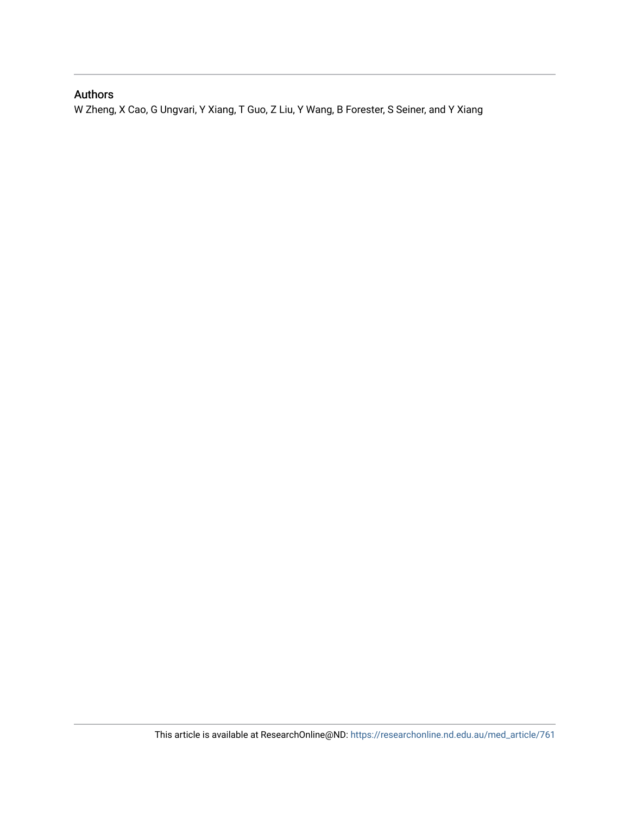# Authors

W Zheng, X Cao, G Ungvari, Y Xiang, T Guo, Z Liu, Y Wang, B Forester, S Seiner, and Y Xiang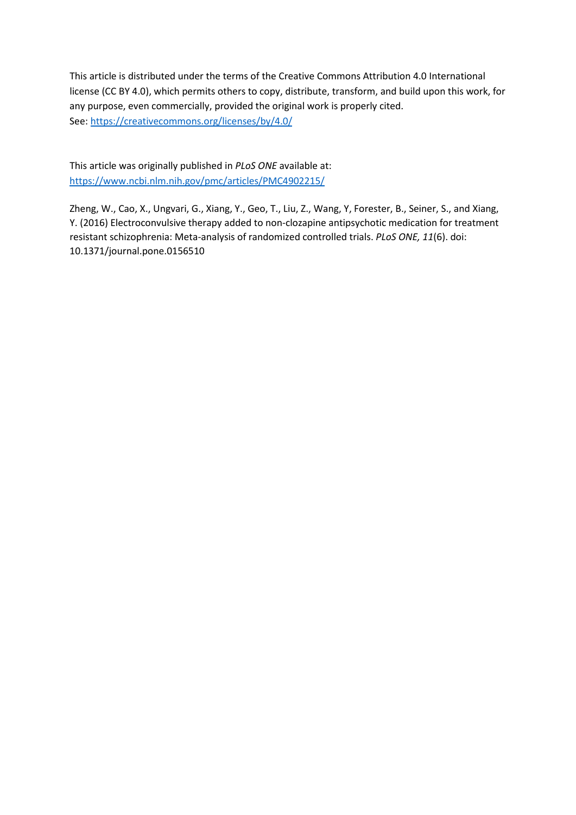This article is distributed under the terms of the Creative Commons Attribution 4.0 International license (CC BY 4.0), which permits others to copy, distribute, transform, and build upon this work, for any purpose, even commercially, provided the original work is properly cited. See[: https://creativecommons.org/licenses/by/4.0/](https://creativecommons.org/licenses/by/4.0/)

This article was originally published in *PLoS ONE* available at: <https://www.ncbi.nlm.nih.gov/pmc/articles/PMC4902215/>

Zheng, W., Cao, X., Ungvari, G., Xiang, Y., Geo, T., Liu, Z., Wang, Y, Forester, B., Seiner, S., and Xiang, Y. (2016) Electroconvulsive therapy added to non-clozapine antipsychotic medication for treatment resistant schizophrenia: Meta-analysis of randomized controlled trials. *PLoS ONE, 11*(6). doi: 10.1371/journal.pone.0156510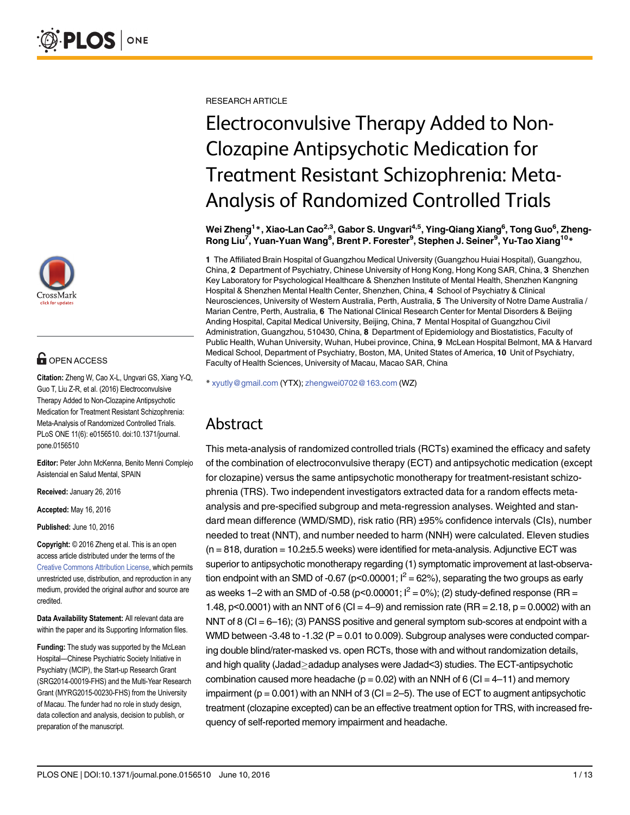

# **OPEN ACCESS**

Citation: Zheng W, Cao X-L, Ungvari GS, Xiang Y-Q, Guo T, Liu Z-R, et al. (2016) Electroconvulsive Therapy Added to Non-Clozapine Antipsychotic Medication for Treatment Resistant Schizophrenia: Meta-Analysis of Randomized Controlled Trials. PLoS ONE 11(6): e0156510. doi:10.1371/journal. pone.0156510

Editor: Peter John McKenna, Benito Menni Complejo Asistencial en Salud Mental, SPAIN

Received: January 26, 2016

Accepted: May 16, 2016

Published: June 10, 2016

Copyright: © 2016 Zheng et al. This is an open access article distributed under the terms of the [Creative Commons Attribution License,](http://creativecommons.org/licenses/by/4.0/) which permits unrestricted use, distribution, and reproduction in any medium, provided the original author and source are credited.

Data Availability Statement: All relevant data are within the paper and its Supporting Information files.

Funding: The study was supported by the McLean Hospital—Chinese Psychiatric Society Initiative in Psychiatry (MCIP), the Start-up Research Grant (SRG2014-00019-FHS) and the Multi-Year Research Grant (MYRG2015-00230-FHS) from the University of Macau. The funder had no role in study design, data collection and analysis, decision to publish, or preparation of the manuscript.

RESEARCH ARTICLE

# Electroconvulsive Therapy Added to Non-Clozapine Antipsychotic Medication for Treatment Resistant Schizophrenia: Meta-Analysis of Randomized Controlled Trials

Wei Zheng<sup>1</sup>\*, Xiao-Lan Cao<sup>2,3</sup>, Gabor S. Ungvari<sup>4,5</sup>, Ying-Qiang Xiang<sup>6</sup>, Tong Guo<sup>6</sup>, Zheng-Rong Liu<sup>7</sup>, Yuan-Yuan Wang<sup>8</sup>, Brent P. Forester<sup>9</sup>, Stephen J. Seiner<sup>9</sup>, Yu-Tao Xiang<sup>10</sup>\*

1 The Affiliated Brain Hospital of Guangzhou Medical University (Guangzhou Huiai Hospital), Guangzhou, China, 2 Department of Psychiatry, Chinese University of Hong Kong, Hong Kong SAR, China, 3 Shenzhen Key Laboratory for Psychological Healthcare & Shenzhen Institute of Mental Health, Shenzhen Kangning Hospital & Shenzhen Mental Health Center, Shenzhen, China, 4 School of Psychiatry & Clinical Neurosciences, University of Western Australia, Perth, Australia, 5 The University of Notre Dame Australia / Marian Centre, Perth, Australia, 6 The National Clinical Research Center for Mental Disorders & Beijing Anding Hospital, Capital Medical University, Beijing, China, 7 Mental Hospital of Guangzhou Civil Administration, Guangzhou, 510430, China, 8 Department of Epidemiology and Biostatistics, Faculty of Public Health, Wuhan University, Wuhan, Hubei province, China, 9 McLean Hospital Belmont, MA & Harvard Medical School, Department of Psychiatry, Boston, MA, United States of America, 10 Unit of Psychiatry, Faculty of Health Sciences, University of Macau, Macao SAR, China

\* xyutly@gmail.com (YTX); zhengwei0702@163.com (WZ)

# Abstract

This meta-analysis of randomized controlled trials (RCTs) examined the efficacy and safety of the combination of electroconvulsive therapy (ECT) and antipsychotic medication (except for clozapine) versus the same antipsychotic monotherapy for treatment-resistant schizophrenia (TRS). Two independent investigators extracted data for a random effects metaanalysis and pre-specified subgroup and meta-regression analyses. Weighted and standard mean difference (WMD/SMD), risk ratio (RR) ±95% confidence intervals (CIs), number needed to treat (NNT), and number needed to harm (NNH) were calculated. Eleven studies  $(n = 818,$  duration = 10.2 $\pm$ 5.5 weeks) were identified for meta-analysis. Adjunctive ECT was superior to antipsychotic monotherapy regarding (1) symptomatic improvement at last-observation endpoint with an SMD of -0.67 (p<0.00001;  $I^2 = 62\%$ ), separating the two groups as early as weeks 1–2 with an SMD of -0.58 (p<0.00001;  $I^2 = 0$ %); (2) study-defined response (RR = 1.48, p<0.0001) with an NNT of 6 (CI = 4–9) and remission rate (RR = 2.18, p = 0.0002) with an NNT of 8 (CI = 6–16); (3) PANSS positive and general symptom sub-scores at endpoint with a WMD between -3.48 to -1.32 ( $P = 0.01$  to 0.009). Subgroup analyses were conducted comparing double blind/rater-masked vs. open RCTs, those with and without randomization details, and high quality (Jadad>adadup analyses were Jadad<3) studies. The ECT-antipsychotic combination caused more headache ( $p = 0.02$ ) with an NNH of 6 (CI = 4–11) and memory impairment ( $p = 0.001$ ) with an NNH of 3 (CI = 2-5). The use of ECT to augment antipsychotic treatment (clozapine excepted) can be an effective treatment option for TRS, with increased frequency of self-reported memory impairment and headache.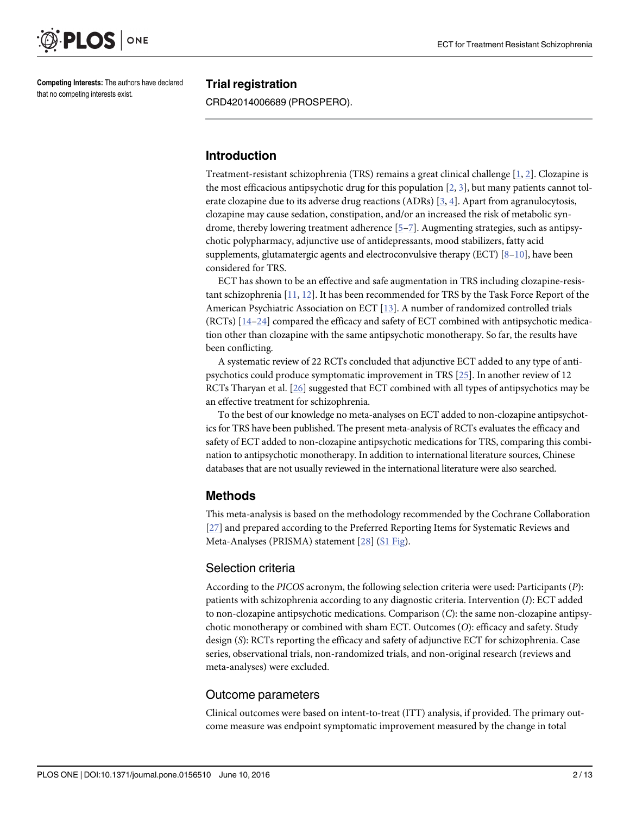<span id="page-4-0"></span>

Competing Interests: The authors have declared that no competing interests exist.

### Trial registration

CRD42014006689 (PROSPERO).

### Introduction

Treatment-resistant schizophrenia (TRS) remains a great clinical challenge [[1](#page-13-0), [2\]](#page-13-0). Clozapine is the most efficacious antipsychotic drug for this population  $[2, 3]$  $[2, 3]$  $[2, 3]$  $[2, 3]$ , but many patients cannot tolerate clozapine due to its adverse drug reactions (ADRs) [[3](#page-13-0), [4\]](#page-13-0). Apart from agranulocytosis, clozapine may cause sedation, constipation, and/or an increased the risk of metabolic syndrome, thereby lowering treatment adherence [\[5](#page-13-0)–[7\]](#page-13-0). Augmenting strategies, such as antipsychotic polypharmacy, adjunctive use of antidepressants, mood stabilizers, fatty acid supplements, glutamatergic agents and electroconvulsive therapy (ECT)  $[8-10]$  $[8-10]$  $[8-10]$ , have been considered for TRS.

ECT has shown to be an effective and safe augmentation in TRS including clozapine-resistant schizophrenia [\[11,](#page-13-0) [12\]](#page-13-0). It has been recommended for TRS by the Task Force Report of the American Psychiatric Association on ECT [[13](#page-13-0)]. A number of randomized controlled trials (RCTs) [\[14](#page-14-0)–[24](#page-14-0)] compared the efficacy and safety of ECT combined with antipsychotic medication other than clozapine with the same antipsychotic monotherapy. So far, the results have been conflicting.

A systematic review of 22 RCTs concluded that adjunctive ECT added to any type of antipsychotics could produce symptomatic improvement in TRS [\[25\]](#page-14-0). In another review of 12 RCTs Tharyan et al. [[26\]](#page-14-0) suggested that ECT combined with all types of antipsychotics may be an effective treatment for schizophrenia.

To the best of our knowledge no meta-analyses on ECT added to non-clozapine antipsychotics for TRS have been published. The present meta-analysis of RCTs evaluates the efficacy and safety of ECT added to non-clozapine antipsychotic medications for TRS, comparing this combination to antipsychotic monotherapy. In addition to international literature sources, Chinese databases that are not usually reviewed in the international literature were also searched.

# Methods

This meta-analysis is based on the methodology recommended by the Cochrane Collaboration [\[27](#page-14-0)] and prepared according to the Preferred Reporting Items for Systematic Reviews and Meta-Analyses (PRISMA) statement [[28](#page-14-0)] [\(S1 Fig](#page-12-0)).

# Selection criteria

According to the PICOS acronym, the following selection criteria were used: Participants (P): patients with schizophrenia according to any diagnostic criteria. Intervention (I): ECT added to non-clozapine antipsychotic medications. Comparison (C): the same non-clozapine antipsychotic monotherapy or combined with sham ECT. Outcomes (O): efficacy and safety. Study design (S): RCTs reporting the efficacy and safety of adjunctive ECT for schizophrenia. Case series, observational trials, non-randomized trials, and non-original research (reviews and meta-analyses) were excluded.

# Outcome parameters

Clinical outcomes were based on intent-to-treat (ITT) analysis, if provided. The primary outcome measure was endpoint symptomatic improvement measured by the change in total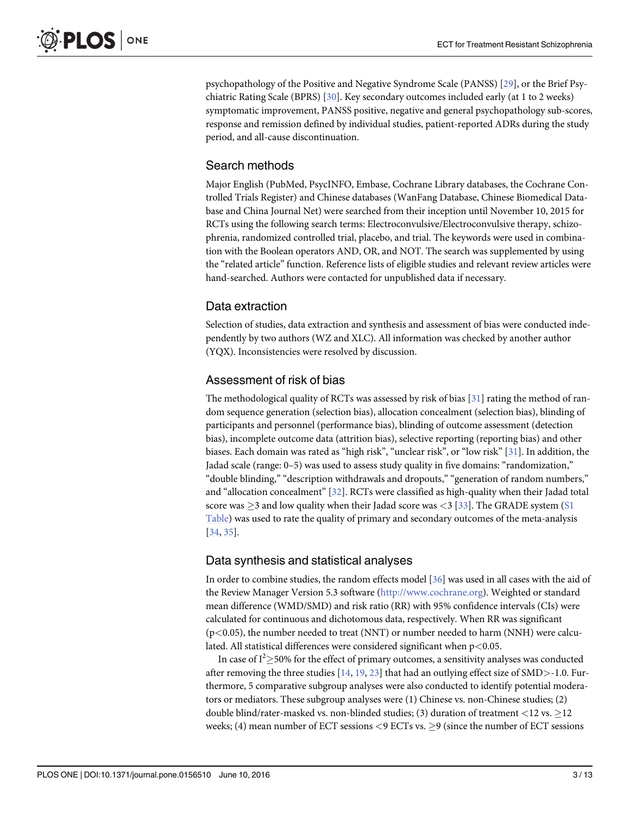<span id="page-5-0"></span>psychopathology of the Positive and Negative Syndrome Scale (PANSS) [\[29](#page-14-0)], or the Brief Psychiatric Rating Scale (BPRS) [\[30](#page-14-0)]. Key secondary outcomes included early (at 1 to 2 weeks) symptomatic improvement, PANSS positive, negative and general psychopathology sub-scores, response and remission defined by individual studies, patient-reported ADRs during the study period, and all-cause discontinuation.

# Search methods

Major English (PubMed, PsycINFO, Embase, Cochrane Library databases, the Cochrane Controlled Trials Register) and Chinese databases (WanFang Database, Chinese Biomedical Database and China Journal Net) were searched from their inception until November 10, 2015 for RCTs using the following search terms: Electroconvulsive/Electroconvulsive therapy, schizophrenia, randomized controlled trial, placebo, and trial. The keywords were used in combination with the Boolean operators AND, OR, and NOT. The search was supplemented by using the "related article" function. Reference lists of eligible studies and relevant review articles were hand-searched. Authors were contacted for unpublished data if necessary.

# Data extraction

Selection of studies, data extraction and synthesis and assessment of bias were conducted independently by two authors (WZ and XLC). All information was checked by another author (YQX). Inconsistencies were resolved by discussion.

# Assessment of risk of bias

The methodological quality of RCTs was assessed by risk of bias  $[31]$  rating the method of random sequence generation (selection bias), allocation concealment (selection bias), blinding of participants and personnel (performance bias), blinding of outcome assessment (detection bias), incomplete outcome data (attrition bias), selective reporting (reporting bias) and other biases. Each domain was rated as "high risk", "unclear risk", or "low risk" [\[31\]](#page-14-0). In addition, the Jadad scale (range: 0–5) was used to assess study quality in five domains: "randomization," "double blinding," "description withdrawals and dropouts," "generation of random numbers," and "allocation concealment" [[32](#page-14-0)]. RCTs were classified as high-quality when their Jadad total score was  $\geq$ 3 and low quality when their Jadad score was <3 [\[33\]](#page-14-0). The GRADE system ( $S1$ [Table](#page-13-0)) was used to rate the quality of primary and secondary outcomes of the meta-analysis [\[34](#page-14-0), [35\]](#page-15-0).

# Data synthesis and statistical analyses

In order to combine studies, the random effects model [\[36\]](#page-15-0) was used in all cases with the aid of the Review Manager Version 5.3 software ([http://www.cochrane.org](http://www.cochrane.org/)). Weighted or standard mean difference (WMD/SMD) and risk ratio (RR) with 95% confidence intervals (CIs) were calculated for continuous and dichotomous data, respectively. When RR was significant  $(p<0.05)$ , the number needed to treat (NNT) or number needed to harm (NNH) were calculated. All statistical differences were considered significant when p<0.05.

In case of  $I^2 \ge 50\%$  for the effect of primary outcomes, a sensitivity analyses was conducted after removing the three studies  $[14, 19, 23]$  $[14, 19, 23]$  $[14, 19, 23]$  $[14, 19, 23]$  $[14, 19, 23]$  that had an outlying effect size of SMD>-1.0. Furthermore, 5 comparative subgroup analyses were also conducted to identify potential moderators or mediators. These subgroup analyses were (1) Chinese vs. non-Chinese studies; (2) double blind/rater-masked vs. non-blinded studies; (3) duration of treatment <12 vs.  $\geq$ 12 weeks; (4) mean number of ECT sessions  $\leq$  9 ECTs vs.  $\geq$  9 (since the number of ECT sessions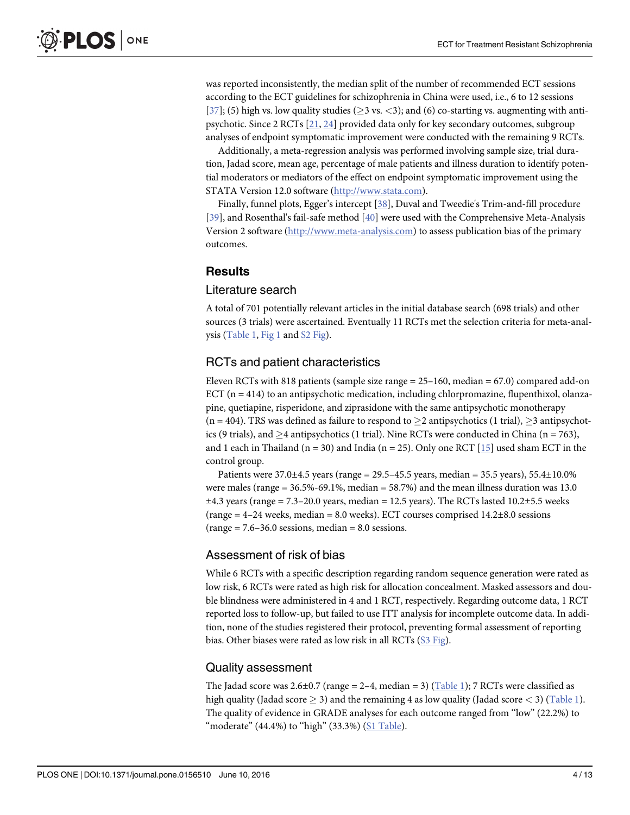<span id="page-6-0"></span>was reported inconsistently, the median split of the number of recommended ECT sessions according to the ECT guidelines for schizophrenia in China were used, i.e., 6 to 12 sessions [\[37](#page-15-0)]; (5) high vs. low quality studies ( $\geq$ 3 vs.  $\lt$ 3); and (6) co-starting vs. augmenting with antipsychotic. Since 2 RCTs [[21](#page-14-0), [24](#page-14-0)] provided data only for key secondary outcomes, subgroup analyses of endpoint symptomatic improvement were conducted with the remaining 9 RCTs.

Additionally, a meta-regression analysis was performed involving sample size, trial duration, Jadad score, mean age, percentage of male patients and illness duration to identify potential moderators or mediators of the effect on endpoint symptomatic improvement using the STATA Version 12.0 software ([http://www.stata.com](http://www.stata.com/)).

Finally, funnel plots, Egger's intercept [\[38\]](#page-15-0), Duval and Tweedie's Trim-and-fill procedure [\[39](#page-15-0)], and Rosenthal's fail-safe method [[40\]](#page-15-0) were used with the Comprehensive Meta-Analysis Version 2 software ([http://www.meta-analysis.com\)](http://www.meta-analysis.com) to assess publication bias of the primary outcomes.

#### **Results**

### Literature search

A total of 701 potentially relevant articles in the initial database search (698 trials) and other sources (3 trials) were ascertained. Eventually 11 RCTs met the selection criteria for meta-anal-ysis [\(Table 1](#page-7-0),  $Fig 1$  and  $S2$  Fig).

#### RCTs and patient characteristics

Eleven RCTs with 818 patients (sample size range  $= 25-160$ , median  $= 67.0$ ) compared add-on ECT  $(n = 414)$  to an antipsychotic medication, including chlorpromazine, flupenthixol, olanzapine, quetiapine, risperidone, and ziprasidone with the same antipsychotic monotherapy  $(n = 404)$ . TRS was defined as failure to respond to  $\geq 2$  antipsychotics (1 trial),  $\geq 3$  antipsychotics (9 trials), and  $\geq$ 4 antipsychotics (1 trial). Nine RCTs were conducted in China (n = 763), and 1 each in Thailand (n = 30) and India (n = 25). Only one RCT  $[15]$  used sham ECT in the control group.

Patients were  $37.0 \pm 4.5$  years (range = 29.5–45.5 years, median = 35.5 years), 55.4 $\pm$ 10.0% were males (range = 36.5%-69.1%, median = 58.7%) and the mean illness duration was 13.0  $\pm 4.3$  years (range = 7.3–20.0 years, median = 12.5 years). The RCTs lasted 10.2 $\pm$ 5.5 weeks (range  $= 4-24$  weeks, median  $= 8.0$  weeks). ECT courses comprised  $14.2\pm8.0$  sessions  $(range = 7.6-36.0 \, sessions, median = 8.0 \, sessions.$ 

#### Assessment of risk of bias

While 6 RCTs with a specific description regarding random sequence generation were rated as low risk, 6 RCTs were rated as high risk for allocation concealment. Masked assessors and double blindness were administered in 4 and 1 RCT, respectively. Regarding outcome data, 1 RCT reported loss to follow-up, but failed to use ITT analysis for incomplete outcome data. In addition, none of the studies registered their protocol, preventing formal assessment of reporting bias. Other biases were rated as low risk in all RCTs ([S3 Fig\)](#page-12-0).

#### Quality assessment

The Jadad score was  $2.6\pm0.7$  (range = 2–4, median = 3) ([Table 1\)](#page-7-0); 7 RCTs were classified as high quality (Jadad score  $\geq$  3) and the remaining 4 as low quality (Jadad score  $\lt$  3) [\(Table 1](#page-7-0)). The quality of evidence in GRADE analyses for each outcome ranged from ''low" (22.2%) to "moderate"  $(44.4\%)$  to "high"  $(33.3\%)$   $(S1$  Table).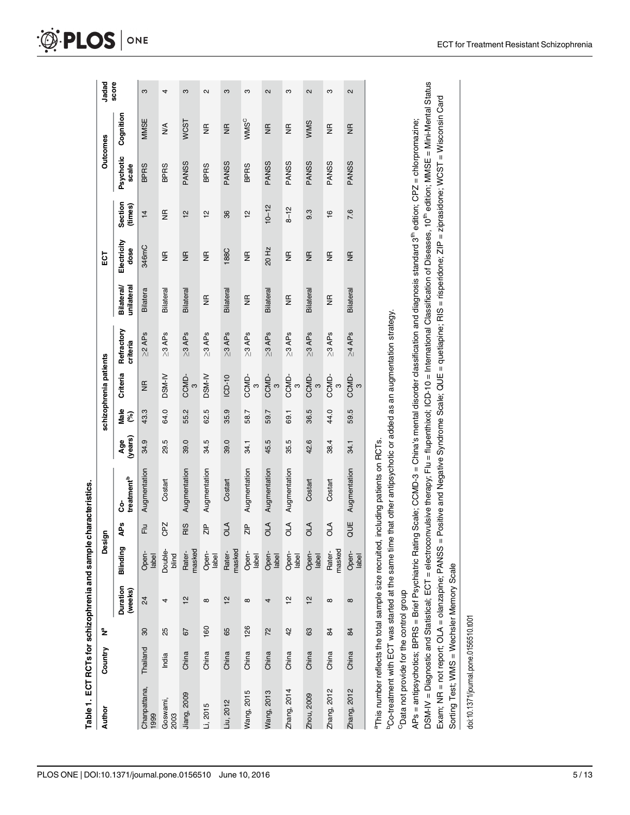<span id="page-7-0"></span>

| Country                      | ž | Öesi             | ā,            |                                |                      |                       | schizophrenia patients |                        |                                 | 5g                  |                    | <b>Outcomes</b>    |                    | Jadad             |
|------------------------------|---|------------------|---------------|--------------------------------|----------------------|-----------------------|------------------------|------------------------|---------------------------------|---------------------|--------------------|--------------------|--------------------|-------------------|
| Duration<br>(weeks)          |   | Blinding         | <b>APs</b>    | treatment <sup>b</sup><br>င္ပံ | (years<br><b>Age</b> | Male<br>$\mathcal{E}$ | Criteria               | Refractory<br>criteria | <b>Bilateral/</b><br>unilateral | Electricity<br>dose | Section<br>(times) | Psychotic<br>scale | Cognition          | score             |
| 24<br>30<br>Thailand         |   | Open-<br>label   | 군<br>         | Augmentation                   | 34.9                 | 43.3                  | $\frac{\pi}{2}$        | $\geq$ 2 APs           | <b>Bilatera</b>                 | 346mC               | $\frac{1}{4}$      | <b>BPRS</b>        | MMSE               | S                 |
| 4<br>25<br>India             |   | Double-<br>blind | CPZ           | Costart                        | 29.5                 | 64.0                  | DSM-IV                 | $\geq$ 3 APs           | Bilateral                       | $\frac{\alpha}{2}$  | $\frac{\alpha}{2}$ | <b>BPRS</b>        | ≸                  | 4                 |
| 12<br>57<br>China            |   | Rater-<br>masked | RIS           | Augmentation                   | 39.0                 | 55.2                  | CCMD-<br>$\infty$      | $\geq 3$ APs           | Bilateral                       | $\frac{\pi}{2}$     | 12                 | PANSS              | WCST               | ო                 |
| $\infty$<br>160<br>China     |   | Open-<br>label   | $\frac{P}{N}$ | Augmentation                   | 34.5                 | 62.5                  | DSM-IV                 | $\geq$ 3 APs           | $\frac{\alpha}{\alpha}$         | $\frac{\alpha}{2}$  | <u>인</u>           | <b>BPRS</b>        | $\frac{\alpha}{2}$ | 2                 |
| 51<br>65<br>China            |   | masked<br>Rater- | <b>OLA</b>    | Costart                        | 39.0                 | 35.9                  | ICD-10                 | $\geq 3$ APs           | Bilateral                       | 188C                | 36                 | <b>PANSS</b>       | $\frac{\alpha}{2}$ | ო                 |
| $\infty$<br>126<br>China     |   | Open-<br>label   | $\frac{P}{N}$ | Augmentation                   | 34.1                 | 58.7                  | CCMD-<br>$\infty$      | $\geq$ 3 APs           | $\frac{\alpha}{2}$              | $\frac{\alpha}{2}$  | $\frac{1}{2}$      | <b>BPRS</b>        | WMSC               | ო                 |
| 4<br>72<br>China             |   | Open-<br>label   | OLA           | Augmentation                   | 45.5                 | 59.7                  | CCMD-<br>$\infty$      | $\geq 3$ APs           | <b>Bilateral</b>                | 20 Hz               | $10 - 12$          | PANSS              | $\frac{\pi}{2}$    | $\sim$            |
| 으<br>42<br>China             |   | Open-<br>label   | OLA           | Augmentation                   | 35.5                 | 69.1                  | CCMD-<br>$\infty$      | $\geq$ 3 APs           | $\frac{\pi}{2}$                 | $\frac{\alpha}{2}$  | $8 - 12$           | PANSS              | g                  | S                 |
| $\frac{1}{2}$<br>63<br>China |   | Open-<br>label   | OLA           | Costart                        | 42.6                 | 36.5                  | CCMD-<br>3             | $\geq 3$ APs           | Bilateral                       | $\frac{\pi}{2}$     | 9.3                | PANSS              | WMS                | $\mathbf{\Omega}$ |
| $^\infty$<br>84<br>China     |   | Rater-<br>masked | OLA           | Costart                        | 38.4                 | 44.0                  | CCMD-<br>ო             | $\geq 3$ APs           | $\frac{\pi}{2}$                 | $\frac{\alpha}{2}$  | $\frac{6}{5}$      | PANSS              | $\frac{\alpha}{2}$ | ო                 |
| $\infty$<br>84<br>China      |   | Open-<br>label   | QUE           | Augmentation                   | 34.1                 | 59.5                  | CCMD-<br>$\infty$      | $\geq 4$ APs           | Bilateral                       | $\frac{\alpha}{2}$  | 7.6                | PANSS              | $\frac{\alpha}{2}$ | $\sim$            |
|                              |   |                  |               |                                |                      |                       |                        |                        |                                 |                     |                    |                    |                    |                   |

a This number reflects the total sample size recruited, including patients on RCTs. aThis number reflects the total sample size recruited, including patients on RCTs. <sup>b</sup>Co-treatment with ECT was started at the same time that other antipsychotic or added as an augmentation strategy.  $^{\rm b}$ Co-treatment with ECT was started at the same time that other antipsychotic or added as an augmentation strategy.

<sup>C</sup>Data not provide for the control group CData not provide for the control group

DSM-IV = Diagnostic and Statistical; ECT = electroconvulsive therapy; Flu = flupenthixol; ICD-10 = International Classification of Diseases, 10<sup>th</sup> edition; MMSE = Mini-Mental Status DSM-IV = Diagnostic and Statistical; ECT = electroconvulsive therapy; Flu = flupenthixol; ICD-10 = International Classification of Diseases, 10th edition; MMSE = Mini-Mental Status Exam; NR = not report; OLA = olanzapine; PANSS = Positive and Negative Syndrome Scale; QUE = quetiapine; RIS = risperidone; ZIP = ziprasidone; WCST = Wisconsin Card Exam; NR = not report; OLA = olanzapine; PANSS = Positive and Negative Syndrome Scale; QUE = quetiapine; RIS = risperidone; ZIP = ziprasidone; WCST = Wisconsin Card APs = antipsychotics; BPRS = Brief Psychiatric Rating Scale; CCMD-3 = China's mental disorder dassification and diagnosis standard 3th edition; CPZ = chlorpromazine; APs = antipsychotics; BPRS = Brief Psychiatric Rating Scale; CCMD-3 = China's mental disorder classification and diagnosis standard 3th edition; CPZ = chlorpromazine; Sorting Test; WMS = Wechsler Memory Scale Sorting Test; WMS = Wechsler Memory Scale

doi:10.1371/journal.pone.0156510.t001 doi:10.1371/journal.pone.0156510.t001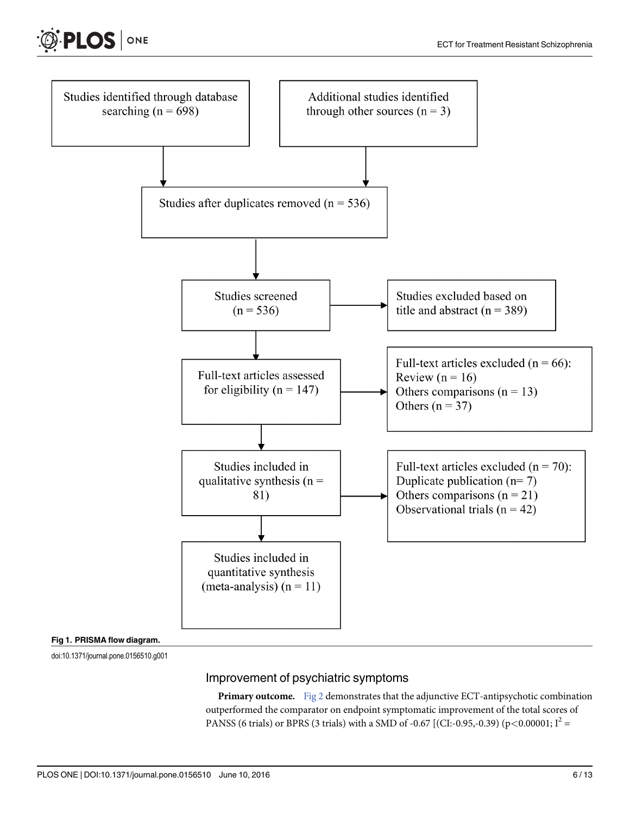<span id="page-8-0"></span>



doi:10.1371/journal.pone.0156510.g001

# Improvement of psychiatric symptoms

Primary outcome. [Fig 2](#page-9-0) demonstrates that the adjunctive ECT-antipsychotic combination outperformed the comparator on endpoint symptomatic improvement of the total scores of PANSS (6 trials) or BPRS (3 trials) with a SMD of -0.67 [(CI:-0.95,-0.39) (p<0.00001;  $I^2$  =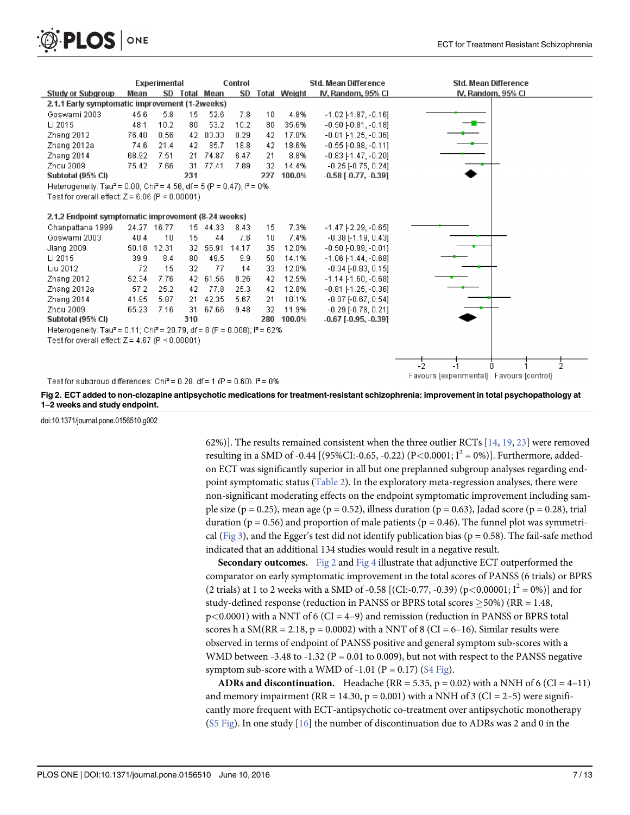<span id="page-9-0"></span>

|                                                                                                            |             | <b>Experimental</b> |      |               | Control           |     |                 | <b>Std. Mean Difference</b>   | <b>Std. Mean Difference</b>              |  |  |
|------------------------------------------------------------------------------------------------------------|-------------|---------------------|------|---------------|-------------------|-----|-----------------|-------------------------------|------------------------------------------|--|--|
| <b>Study or Subgroup</b>                                                                                   | Mean        |                     |      | SD Total Mean |                   |     | SD Total Weight | IV, Random, 95% CI            | IV, Random, 95% CI                       |  |  |
| 2.1.1 Early symptomatic improvement (1-2weeks)                                                             |             |                     |      |               |                   |     |                 |                               |                                          |  |  |
| Goswami 2003                                                                                               | 45.6        | 5.8                 | 15   | 52.6          | 7.8               | 10  | 4.8%            | $-1.02$ [-1.87, $-0.16$ ]     |                                          |  |  |
| Li 2015                                                                                                    | 48.1        | 10.2                | 80   | 53.2          | 10.2 <sub>1</sub> | 80  | 35.6%           | $-0.50$ [ $-0.81$ , $-0.18$ ] |                                          |  |  |
| Zhang 2012                                                                                                 | 76.48       | 8.56                | 42   | 83.33         | 8.29              | 42  | 17.8%           | $-0.81$ [-1.25, $-0.36$ ]     |                                          |  |  |
| Zhang 2012a                                                                                                | 74.6        | 21.4                | 42   | 85.7          | 18.8              | 42  | 18.6%           | $-0.55$ [ $-0.98$ , $-0.11$ ] |                                          |  |  |
| Zhang 2014                                                                                                 | 68.92       | 7.51                | -21. | 74.87         | 6.47              | -21 | 8.8%            | $-0.83$ [-1.47, $-0.20$ ]     |                                          |  |  |
| Zhou 2009                                                                                                  | 75.42       | 7.66                | 31   | 77.41         | 7.89              | 32  | 14.4%           | $-0.25$ $[-0.75, 0.24]$       |                                          |  |  |
| Subtotal (95% CI)                                                                                          |             |                     | 231  |               |                   | 227 | 100.0%          | $-0.58$ [ $-0.77, -0.39$ ]    |                                          |  |  |
| Heterogeneity: Tau <sup>2</sup> = 0.00; Chi <sup>2</sup> = 4.56, df = 5 (P = 0.47); i <sup>2</sup> = 0%    |             |                     |      |               |                   |     |                 |                               |                                          |  |  |
| Test for overall effect: $Z = 6.06$ (P < 0.00001)                                                          |             |                     |      |               |                   |     |                 |                               |                                          |  |  |
|                                                                                                            |             |                     |      |               |                   |     |                 |                               |                                          |  |  |
| 2.1.2 Endpoint symptomatic improvement (8.24 weeks)                                                        |             |                     |      |               |                   |     |                 |                               |                                          |  |  |
| Chanpattana 1999                                                                                           | 24.27 16.77 |                     |      | 15 44.33      | 8.43              | 15  | 7.3%            | $-1.47$ [ $-2.29$ , $-0.65$ ] |                                          |  |  |
| Goswami 2003                                                                                               | 40.4        | 10                  | 15   | 44            | 7.6               | 10  | 7.4%            | $-0.38$ [-1.19, 0.43]         |                                          |  |  |
| Jiang 2009                                                                                                 | 50.18       | 12.31               | -32. | 56.91         | 14.17             | 35  | 12.0%           | $-0.50$ [ $-0.99$ , $-0.01$ ] |                                          |  |  |
| Li 2015                                                                                                    | 39.9        | 8.4                 | 80   | 49.5          | 9.9               | 50  | 14.1%           | $-1.06$ [ $-1.44$ , $-0.68$ ] |                                          |  |  |
| Liu 2012                                                                                                   | 72          | 15                  | 32   | 77            | 14                | 33  | 12.0%           | $-0.34$ $[-0.83, 0.15]$       |                                          |  |  |
| Zhang 2012                                                                                                 | 52.34       | 7.76                | 42   | 61.56         | 8.26              | 42  | 12.5%           | $-1.14$ [-1.60, $-0.68$ ]     |                                          |  |  |
| Zhang 2012a                                                                                                | 57.2        | 25.2                | 42   | 77.8          | 25.3              | 42. | 12.8%           | $-0.81$ [-1.25, -0.36]        |                                          |  |  |
| Zhang 2014                                                                                                 | 41.95       | 5.87                | 21   | 42.35         | 5.67              | 21  | 10.1%           | $-0.07$ [ $-0.67$ , $0.54$ ]  |                                          |  |  |
| Zhou 2009                                                                                                  | 65.23       | 7.16                | 31   | 67.66         | 9.48              | 32  | 11.9%           | $-0.29$ F0.78, 0.211          |                                          |  |  |
| Subtotal (95% CI)                                                                                          |             |                     | 310  |               |                   | 280 | 100.0%          | $-0.67$ [ $-0.95, -0.39$ ]    |                                          |  |  |
| Heterogeneity: Tau <sup>2</sup> = 0.11; Chi <sup>2</sup> = 20.79, df = 8 (P = 0.008); i <sup>2</sup> = 62% |             |                     |      |               |                   |     |                 |                               |                                          |  |  |
| Test for overall effect: $Z = 4.67$ (P < 0.00001)                                                          |             |                     |      |               |                   |     |                 |                               |                                          |  |  |
|                                                                                                            |             |                     |      |               |                   |     |                 |                               |                                          |  |  |
|                                                                                                            |             |                     |      |               |                   |     |                 |                               | -5.                                      |  |  |
|                                                                                                            |             |                     |      |               |                   |     |                 |                               | 2<br>n                                   |  |  |
| Test for subgroup differences: Chi <sup>2</sup> = 0.28, df = 1 (P = 0.60), $I^2$ = 0%                      |             |                     |      |               |                   |     |                 |                               | Favours [experimental] Favours [control] |  |  |

[Fig 2. E](#page-8-0)CT added to non-clozapine antipsychotic medications for treatment-resistant schizophrenia: improvement in total psychopathology at 1–2 weeks and study endpoint.

doi:10.1371/journal.pone.0156510.g002

62%)]. The results remained consistent when the three outlier RCTs [\[14,](#page-14-0) [19,](#page-14-0) [23\]](#page-14-0) were removed resulting in a SMD of -0.44 [(95%CI:-0.65, -0.22) (P<0.0001;  $I^2 = 0\%$ )]. Furthermore, addedon ECT was significantly superior in all but one preplanned subgroup analyses regarding endpoint symptomatic status [\(Table 2](#page-10-0)). In the exploratory meta-regression analyses, there were non-significant moderating effects on the endpoint symptomatic improvement including sample size (p = 0.25), mean age (p = 0.52), illness duration (p = 0.63), Jadad score (p = 0.28), trial duration ( $p = 0.56$ ) and proportion of male patients ( $p = 0.46$ ). The funnel plot was symmetri-cal ([Fig 3](#page-10-0)), and the Egger's test did not identify publication bias ( $p = 0.58$ ). The fail-safe method indicated that an additional 134 studies would result in a negative result.

**Secondary outcomes.** Fig 2 and [Fig 4](#page-11-0) illustrate that adjunctive ECT outperformed the comparator on early symptomatic improvement in the total scores of PANSS (6 trials) or BPRS (2 trials) at 1 to 2 weeks with a SMD of -0.58 [(CI:-0.77, -0.39) (p<0.00001; I<sup>2</sup> = 0%)] and for study-defined response (reduction in PANSS or BPRS total scores  $>50\%$ ) (RR = 1.48,  $p$ <0.0001) with a NNT of 6 (CI = 4–9) and remission (reduction in PANSS or BPRS total scores h a  $SM(RR = 2.18, p = 0.0002)$  with a NNT of 8 (CI = 6–16). Similar results were observed in terms of endpoint of PANSS positive and general symptom sub-scores with a WMD between -3.48 to -1.32 ( $P = 0.01$  to 0.009), but not with respect to the PANSS negative symptom sub-score with a WMD of  $-1.01$  (P = 0.17) [\(S4 Fig](#page-12-0)).

ADRs and discontinuation. Headache (RR = 5.35, p = 0.02) with a NNH of 6 (CI =  $4-11$ ) and memory impairment (RR = 14.30, p = 0.001) with a NNH of 3 (CI = 2-5) were significantly more frequent with ECT-antipsychotic co-treatment over antipsychotic monotherapy ( $S5$  Fig). In one study [ $16$ ] the number of discontinuation due to ADRs was 2 and 0 in the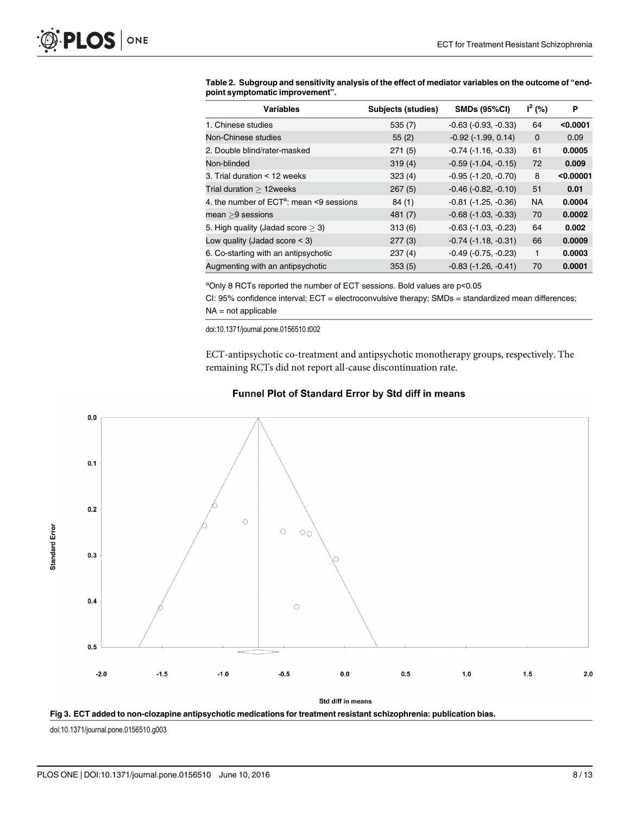| <b>Variables</b>                           | Subjects (studies) | <b>SMDs (95%CI)</b>           | $I^2$ (%)   | P         |
|--------------------------------------------|--------------------|-------------------------------|-------------|-----------|
| 1. Chinese studies                         | 535(7)             | $-0.63$ $(-0.93, -0.33)$      | 64          | < 0.0001  |
| Non-Chinese studies                        | 55(2)              | $-0.92$ ( $-1.99$ , $0.14$ )  | $\mathbf 0$ | 0.09      |
| 2. Double blind/rater-masked               | 271(5)             | $-0.74$ ( $-1.16$ , $-0.33$ ) | 61          | 0.0005    |
| Non-blinded                                | 319(4)             | $-0.59$ $(-1.04, -0.15)$      | 72          | 0.009     |
| 3. Trial duration < 12 weeks               | 323(4)             | $-0.95$ ( $-1.20, -0.70$ )    | 8           | < 0.00001 |
| Trial duration $>12$ weeks                 | 267(5)             | $-0.46$ $(-0.82, -0.10)$      | 51          | 0.01      |
| 4. the number of $ECTa$ : mean <9 sessions | 84(1)              | $-0.81$ ( $-1.25$ , $-0.36$ ) | <b>NA</b>   | 0.0004    |
| $mean > 9$ sessions                        | 481 (7)            | $-0.68$ ( $-1.03$ , $-0.33$ ) | 70          | 0.0002    |
| 5. High quality (Jadad score $>$ 3)        | 313(6)             | $-0.63$ ( $-1.03$ , $-0.23$ ) | 64          | 0.002     |
| Low quality (Jadad score $<$ 3)            | 277(3)             | $-0.74$ ( $-1.18$ , $-0.31$ ) | 66          | 0.0009    |
| 6. Co-starting with an antipsychotic       | 237(4)             | $-0.49$ $(-0.75, -0.23)$      | 1           | 0.0003    |
| Augmenting with an antipsychotic           | 353(5)             | $-0.83$ $(-1.26, -0.41)$      | 70          | 0.0001    |

<span id="page-10-0"></span>[Table 2.](#page-9-0) Subgroup and sensitivity analysis of the effect of mediator variables on the outcome of "endpoint symptomatic improvement".

<sup>a</sup>Only 8 RCTs reported the number of ECT sessions. Bold values are p<0.05

CI: 95% confidence interval; ECT = electroconvulsive therapy; SMDs = standardized mean differences; NA = not applicable

doi:10.1371/journal.pone.0156510.t002

ECT-antipsychotic co-treatment and antipsychotic monotherapy groups, respectively. The remaining RCTs did not report all-cause discontinuation rate.



#### Funnel Plot of Standard Error by Std diff in means



doi:10.1371/journal.pone.0156510.g003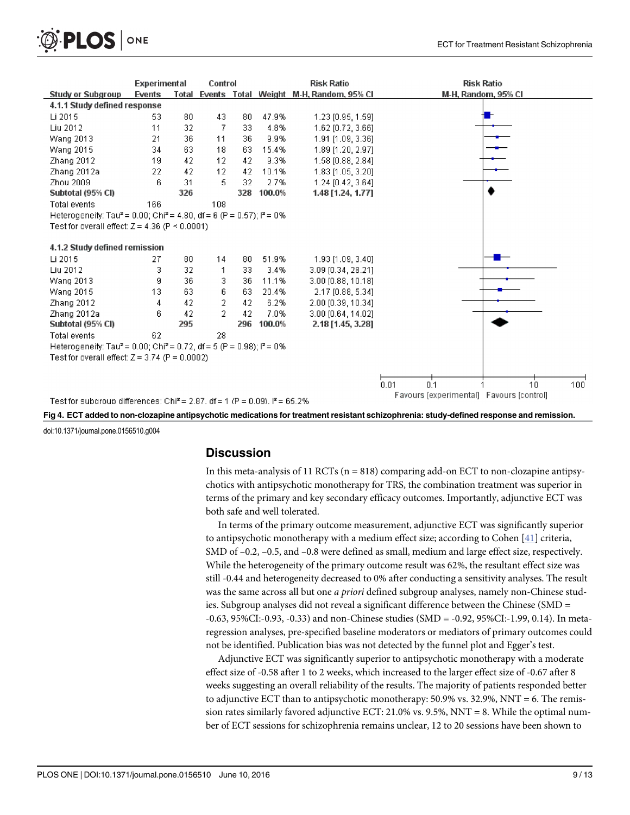<span id="page-11-0"></span>

|                                                                                                         | <b>Experimental</b> |     | Control |     |        | <b>Risk Ratio</b>                             | <b>Risk Ratio</b>                        |  |  |  |  |
|---------------------------------------------------------------------------------------------------------|---------------------|-----|---------|-----|--------|-----------------------------------------------|------------------------------------------|--|--|--|--|
| <b>Study or Subgroup</b>                                                                                | Events              |     |         |     |        | Total Events Total Weight M-H, Random, 95% CI | M-H, Random, 95% CI                      |  |  |  |  |
| 4.1.1 Study defined response                                                                            |                     |     |         |     |        |                                               |                                          |  |  |  |  |
| Li 2015                                                                                                 | 53.                 | 80  | 43      | 80  | 47.9%  | 1.23 [0.95, 1.59]                             |                                          |  |  |  |  |
| Liu 2012                                                                                                | 11                  | 32  | 7       | 33  | 4.8%   | 1.62 [0.72, 3.66]                             |                                          |  |  |  |  |
| Wang 2013                                                                                               | 21                  | 36  | 11      | 36  | 9.9%   | 1.91 [1.09, 3.36]                             |                                          |  |  |  |  |
| <b>Wang 2015</b>                                                                                        | 34                  | 63  | 18      | 63  | 15.4%  | 1.89 [1.20, 2.97]                             |                                          |  |  |  |  |
| Zhang 2012                                                                                              | 19                  | 42  | 12      | 42  | 9.3%   | 1.58 [0.88, 2.84]                             |                                          |  |  |  |  |
| Zhang 2012a                                                                                             | 22                  | 42  | 12      | 42  | 10.1%  | 1.83 [1.05, 3.20]                             |                                          |  |  |  |  |
| Zhou 2009                                                                                               | 6                   | 31  | 5       | 32  | 2.7%   | 1.24 [0.42, 3.64]                             |                                          |  |  |  |  |
| Subtotal (95% CI)                                                                                       |                     | 326 |         | 328 | 100.0% | 1.48 [1.24, 1.77]                             |                                          |  |  |  |  |
| <b>Total events</b>                                                                                     | 166                 |     | 108     |     |        |                                               |                                          |  |  |  |  |
| Heterogeneity: Tau <sup>2</sup> = 0.00; Chi <sup>2</sup> = 4.80, df = 6 (P = 0.57); i <sup>2</sup> = 0% |                     |     |         |     |        |                                               |                                          |  |  |  |  |
| Test for overall effect: $Z = 4.36$ (P < 0.0001)                                                        |                     |     |         |     |        |                                               |                                          |  |  |  |  |
|                                                                                                         |                     |     |         |     |        |                                               |                                          |  |  |  |  |
| 4.1.2 Study defined remission                                                                           |                     |     |         |     |        |                                               |                                          |  |  |  |  |
| Li 2015                                                                                                 | 27                  | 80  | 14      | 80  | 51.9%  | 1.93 [1.09, 3.40]                             |                                          |  |  |  |  |
| Liu 2012                                                                                                | З                   | 32  | 1       | 33  | 3.4%   | 3.09 [0.34, 28.21]                            |                                          |  |  |  |  |
| Wang 2013                                                                                               | 9                   | 36  | 3       | 36  | 11.1%  | 3.00 [0.88, 10.18]                            |                                          |  |  |  |  |
| <b>Wang 2015</b>                                                                                        | 13                  | 63  | 6       | 63  | 20.4%  | 2.17 [0.88, 5.34]                             |                                          |  |  |  |  |
| Zhang 2012                                                                                              | 4                   | 42  | 2       | 42  | 6.2%   | 2.00 [0.39, 10.34]                            |                                          |  |  |  |  |
| Zhang 2012a                                                                                             | 6                   | 42  | 2       | 42  | 7.0%   | 3.00 [0.64, 14.02]                            |                                          |  |  |  |  |
| Subtotal (95% CI)                                                                                       |                     | 295 |         | 296 | 100.0% | 2.18 [1.45, 3.28]                             |                                          |  |  |  |  |
| <b>Total events</b>                                                                                     | 62                  |     | 28      |     |        |                                               |                                          |  |  |  |  |
| Heterogeneity: Tau <sup>2</sup> = 0.00; Chi <sup>2</sup> = 0.72, df = 5 (P = 0.98); i <sup>2</sup> = 0% |                     |     |         |     |        |                                               |                                          |  |  |  |  |
| Test for overall effect: $Z = 3.74$ (P = 0.0002)                                                        |                     |     |         |     |        |                                               |                                          |  |  |  |  |
|                                                                                                         |                     |     |         |     |        |                                               |                                          |  |  |  |  |
|                                                                                                         |                     |     |         |     |        |                                               | 0.1<br>$10 -$<br>100<br>0.01             |  |  |  |  |
|                                                                                                         |                     |     |         |     |        |                                               | Favours (experimental) Favours (control) |  |  |  |  |
| Test for subgroup differences: Chi <sup>2</sup> = 2.87, df = 1 (P = 0.09), $P = 65.2\%$                 |                     |     |         |     |        |                                               |                                          |  |  |  |  |

[Fig 4.](#page-9-0) ECT added to non-clozapine antipsychotic medications for treatment resistant schizophrenia: study-defined response and remission.

doi:10.1371/journal.pone.0156510.g004

#### **Discussion**

In this meta-analysis of 11 RCTs ( $n = 818$ ) comparing add-on ECT to non-clozapine antipsychotics with antipsychotic monotherapy for TRS, the combination treatment was superior in terms of the primary and key secondary efficacy outcomes. Importantly, adjunctive ECT was both safe and well tolerated.

In terms of the primary outcome measurement, adjunctive ECT was significantly superior to antipsychotic monotherapy with a medium effect size; according to Cohen [\[41\]](#page-15-0) criteria, SMD of  $-0.2$ ,  $-0.5$ , and  $-0.8$  were defined as small, medium and large effect size, respectively. While the heterogeneity of the primary outcome result was 62%, the resultant effect size was still -0.44 and heterogeneity decreased to 0% after conducting a sensitivity analyses. The result was the same across all but one *a priori* defined subgroup analyses, namely non-Chinese studies. Subgroup analyses did not reveal a significant difference between the Chinese (SMD = -0.63, 95%CI:-0.93, -0.33) and non-Chinese studies (SMD = -0.92, 95%CI:-1.99, 0.14). In metaregression analyses, pre-specified baseline moderators or mediators of primary outcomes could not be identified. Publication bias was not detected by the funnel plot and Egger's test.

Adjunctive ECT was significantly superior to antipsychotic monotherapy with a moderate effect size of -0.58 after 1 to 2 weeks, which increased to the larger effect size of -0.67 after 8 weeks suggesting an overall reliability of the results. The majority of patients responded better to adjunctive ECT than to antipsychotic monotherapy: 50.9% vs. 32.9%, NNT = 6. The remission rates similarly favored adjunctive ECT: 21.0% vs. 9.5%, NNT = 8. While the optimal number of ECT sessions for schizophrenia remains unclear, 12 to 20 sessions have been shown to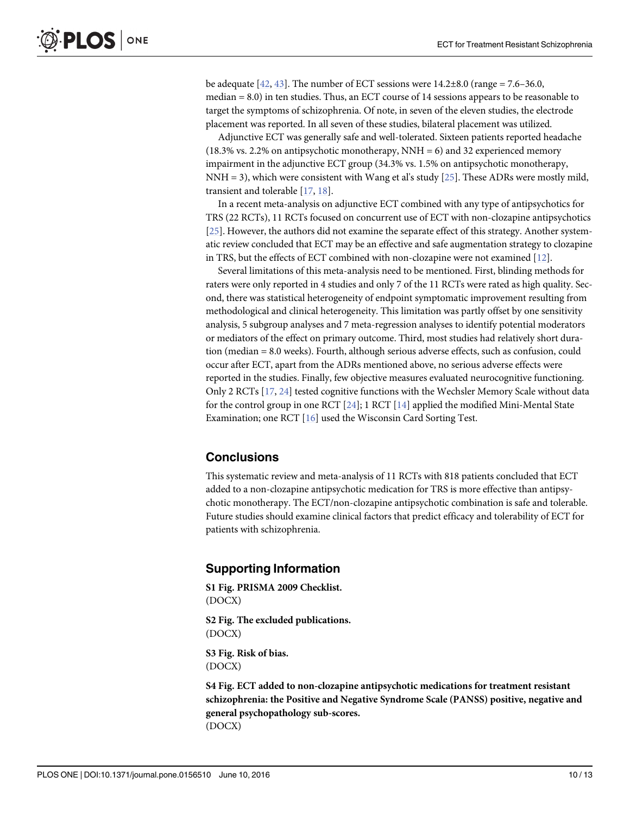<span id="page-12-0"></span>be adequate  $[42, 43]$  $[42, 43]$  $[42, 43]$  $[42, 43]$  $[42, 43]$ . The number of ECT sessions were  $14.2\pm8.0$  (range = 7.6–36.0, median = 8.0) in ten studies. Thus, an ECT course of 14 sessions appears to be reasonable to target the symptoms of schizophrenia. Of note, in seven of the eleven studies, the electrode placement was reported. In all seven of these studies, bilateral placement was utilized.

Adjunctive ECT was generally safe and well-tolerated. Sixteen patients reported headache  $(18.3\% \text{ vs. } 2.2\% \text{ on antipsychotic monotherapy}, \text{NNH} = 6)$  and 32 experienced memory impairment in the adjunctive ECT group (34.3% vs. 1.5% on antipsychotic monotherapy, NNH = 3), which were consistent with Wang et al's study [\[25\]](#page-14-0). These ADRs were mostly mild, transient and tolerable [[17](#page-14-0), [18](#page-14-0)].

In a recent meta-analysis on adjunctive ECT combined with any type of antipsychotics for TRS (22 RCTs), 11 RCTs focused on concurrent use of ECT with non-clozapine antipsychotics [\[25](#page-14-0)]. However, the authors did not examine the separate effect of this strategy. Another systematic review concluded that ECT may be an effective and safe augmentation strategy to clozapine in TRS, but the effects of ECT combined with non-clozapine were not examined [[12](#page-13-0)].

Several limitations of this meta-analysis need to be mentioned. First, blinding methods for raters were only reported in 4 studies and only 7 of the 11 RCTs were rated as high quality. Second, there was statistical heterogeneity of endpoint symptomatic improvement resulting from methodological and clinical heterogeneity. This limitation was partly offset by one sensitivity analysis, 5 subgroup analyses and 7 meta-regression analyses to identify potential moderators or mediators of the effect on primary outcome. Third, most studies had relatively short duration (median = 8.0 weeks). Fourth, although serious adverse effects, such as confusion, could occur after ECT, apart from the ADRs mentioned above, no serious adverse effects were reported in the studies. Finally, few objective measures evaluated neurocognitive functioning. Only 2 RCTs [\[17,](#page-14-0) [24\]](#page-14-0) tested cognitive functions with the Wechsler Memory Scale without data for the control group in one RCT  $[24]$  $[24]$  $[24]$ ; 1 RCT  $[14]$  $[14]$  $[14]$  applied the modified Mini-Mental State Examination; one RCT [[16\]](#page-14-0) used the Wisconsin Card Sorting Test.

# **Conclusions**

This systematic review and meta-analysis of 11 RCTs with 818 patients concluded that ECT added to a non-clozapine antipsychotic medication for TRS is more effective than antipsychotic monotherapy. The ECT/non-clozapine antipsychotic combination is safe and tolerable. Future studies should examine clinical factors that predict efficacy and tolerability of ECT for patients with schizophrenia.

#### Supporting Information

[S1 Fig.](http://www.plosone.org/article/fetchSingleRepresentation.action?uri=info:doi/10.1371/journal.pone.0156510.s001) PRISMA 2009 Checklist. (DOCX)

[S2 Fig.](http://www.plosone.org/article/fetchSingleRepresentation.action?uri=info:doi/10.1371/journal.pone.0156510.s002) The excluded publications. (DOCX)

[S3 Fig.](http://www.plosone.org/article/fetchSingleRepresentation.action?uri=info:doi/10.1371/journal.pone.0156510.s003) Risk of bias. (DOCX)

[S4 Fig.](http://www.plosone.org/article/fetchSingleRepresentation.action?uri=info:doi/10.1371/journal.pone.0156510.s004) ECT added to non-clozapine antipsychotic medications for treatment resistant schizophrenia: the Positive and Negative Syndrome Scale (PANSS) positive, negative and general psychopathology sub-scores. (DOCX)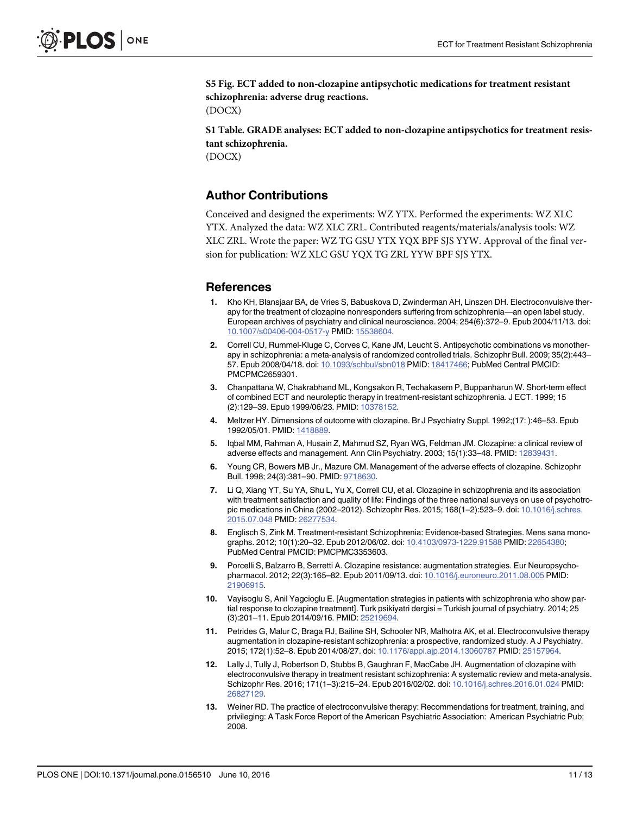<span id="page-13-0"></span>[S5 Fig.](http://www.plosone.org/article/fetchSingleRepresentation.action?uri=info:doi/10.1371/journal.pone.0156510.s005) ECT added to non-clozapine antipsychotic medications for treatment resistant schizophrenia: adverse drug reactions.

(DOCX)

[S1 Table](http://www.plosone.org/article/fetchSingleRepresentation.action?uri=info:doi/10.1371/journal.pone.0156510.s006). GRADE analyses: ECT added to non-clozapine antipsychotics for treatment resistant schizophrenia. (DOCX)

## Author Contributions

Conceived and designed the experiments: WZ YTX. Performed the experiments: WZ XLC YTX. Analyzed the data: WZ XLC ZRL. Contributed reagents/materials/analysis tools: WZ XLC ZRL. Wrote the paper: WZ TG GSU YTX YQX BPF SJS YYW. Approval of the final version for publication: WZ XLC GSU YQX TG ZRL YYW BPF SJS YTX.

#### References

- [1.](#page-4-0) Kho KH, Blansjaar BA, de Vries S, Babuskova D, Zwinderman AH, Linszen DH. Electroconvulsive therapy for the treatment of clozapine nonresponders suffering from schizophrenia—an open label study. European archives of psychiatry and clinical neuroscience. 2004; 254(6):372–9. Epub 2004/11/13. doi: [10.1007/s00406-004-0517-y](http://dx.doi.org/10.1007/s00406-004-0517-y) PMID: [15538604.](http://www.ncbi.nlm.nih.gov/pubmed/15538604)
- [2.](#page-4-0) Correll CU, Rummel-Kluge C, Corves C, Kane JM, Leucht S. Antipsychotic combinations vs monotherapy in schizophrenia: a meta-analysis of randomized controlled trials. Schizophr Bull. 2009; 35(2):443– 57. Epub 2008/04/18. doi: [10.1093/schbul/sbn018](http://dx.doi.org/10.1093/schbul/sbn018) PMID: [18417466](http://www.ncbi.nlm.nih.gov/pubmed/18417466); PubMed Central PMCID: PMCPMC2659301.
- [3.](#page-4-0) Chanpattana W, Chakrabhand ML, Kongsakon R, Techakasem P, Buppanharun W. Short-term effect of combined ECT and neuroleptic therapy in treatment-resistant schizophrenia. J ECT. 1999; 15 (2):129–39. Epub 1999/06/23. PMID: [10378152.](http://www.ncbi.nlm.nih.gov/pubmed/10378152)
- [4.](#page-4-0) Meltzer HY. Dimensions of outcome with clozapine. Br J Psychiatry Suppl. 1992;(17: ):46–53. Epub 1992/05/01. PMID: [1418889.](http://www.ncbi.nlm.nih.gov/pubmed/1418889)
- [5.](#page-4-0) Iqbal MM, Rahman A, Husain Z, Mahmud SZ, Ryan WG, Feldman JM. Clozapine: a clinical review of adverse effects and management. Ann Clin Psychiatry. 2003; 15(1):33–48. PMID: [12839431.](http://www.ncbi.nlm.nih.gov/pubmed/12839431)
- 6. Young CR, Bowers MB Jr., Mazure CM. Management of the adverse effects of clozapine. Schizophr Bull. 1998; 24(3):381–90. PMID: [9718630](http://www.ncbi.nlm.nih.gov/pubmed/9718630).
- [7.](#page-4-0) Li Q, Xiang YT, Su YA, Shu L, Yu X, Correll CU, et al. Clozapine in schizophrenia and its association with treatment satisfaction and quality of life: Findings of the three national surveys on use of psychotropic medications in China (2002–2012). Schizophr Res. 2015; 168(1–2):523–9. doi: [10.1016/j.schres.](http://dx.doi.org/10.1016/j.schres.2015.07.048) [2015.07.048](http://dx.doi.org/10.1016/j.schres.2015.07.048) PMID: [26277534.](http://www.ncbi.nlm.nih.gov/pubmed/26277534)
- [8.](#page-4-0) Englisch S, Zink M. Treatment-resistant Schizophrenia: Evidence-based Strategies. Mens sana monographs. 2012; 10(1):20–32. Epub 2012/06/02. doi: [10.4103/0973-1229.91588](http://dx.doi.org/10.4103/0973-1229.91588) PMID: [22654380;](http://www.ncbi.nlm.nih.gov/pubmed/22654380) PubMed Central PMCID: PMCPMC3353603.
- 9. Porcelli S, Balzarro B, Serretti A. Clozapine resistance: augmentation strategies. Eur Neuropsychopharmacol. 2012; 22(3):165–82. Epub 2011/09/13. doi: [10.1016/j.euroneuro.2011.08.005](http://dx.doi.org/10.1016/j.euroneuro.2011.08.005) PMID: [21906915](http://www.ncbi.nlm.nih.gov/pubmed/21906915).
- [10.](#page-4-0) Vayisoglu S, Anil Yagcioglu E. [Augmentation strategies in patients with schizophrenia who show partial response to clozapine treatment]. Turk psikiyatri dergisi = Turkish journal of psychiatry. 2014; 25 (3):201–11. Epub 2014/09/16. PMID: [25219694.](http://www.ncbi.nlm.nih.gov/pubmed/25219694)
- [11.](#page-4-0) Petrides G, Malur C, Braga RJ, Bailine SH, Schooler NR, Malhotra AK, et al. Electroconvulsive therapy augmentation in clozapine-resistant schizophrenia: a prospective, randomized study. A J Psychiatry. 2015; 172(1):52–8. Epub 2014/08/27. doi: [10.1176/appi.ajp.2014.13060787](http://dx.doi.org/10.1176/appi.ajp.2014.13060787) PMID: [25157964](http://www.ncbi.nlm.nih.gov/pubmed/25157964).
- [12.](#page-4-0) Lally J, Tully J, Robertson D, Stubbs B, Gaughran F, MacCabe JH. Augmentation of clozapine with electroconvulsive therapy in treatment resistant schizophrenia: A systematic review and meta-analysis. Schizophr Res. 2016; 171(1–3):215–24. Epub 2016/02/02. doi: [10.1016/j.schres.2016.01.024](http://dx.doi.org/10.1016/j.schres.2016.01.024) PMID: [26827129](http://www.ncbi.nlm.nih.gov/pubmed/26827129).
- [13.](#page-4-0) Weiner RD. The practice of electroconvulsive therapy: Recommendations for treatment, training, and privileging: A Task Force Report of the American Psychiatric Association: American Psychiatric Pub; 2008.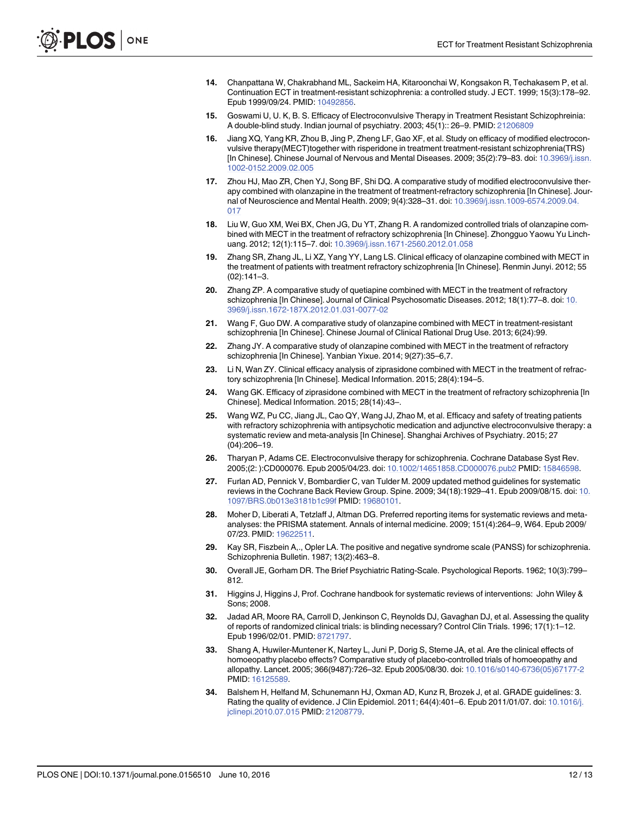- <span id="page-14-0"></span>[14.](#page-4-0) Chanpattana W, Chakrabhand ML, Sackeim HA, Kitaroonchai W, Kongsakon R, Techakasem P, et al. Continuation ECT in treatment-resistant schizophrenia: a controlled study. J ECT. 1999; 15(3):178–92. Epub 1999/09/24. PMID: [10492856.](http://www.ncbi.nlm.nih.gov/pubmed/10492856)
- [15.](#page-6-0) Goswami U, U. K, B. S. Efficacy of Electroconvulsive Therapy in Treatment Resistant Schizophreinia: A double-blind study. Indian journal of psychiatry. 2003; 45(1):: 26–9. PMID: [21206809](http://www.ncbi.nlm.nih.gov/pubmed/21206809)
- [16.](#page-9-0) Jiang XQ, Yang KR, Zhou B, Jing P, Zheng LF, Gao XF, et al. Study on efficacy of modified electroconvulsive therapy(MECT)together with risperidone in treatment treatment-resistant schizophrenia(TRS) [In Chinese]. Chinese Journal of Nervous and Mental Diseases. 2009; 35(2):79–83. doi: [10.3969/j.issn.](http://dx.doi.org/10.3969/j.issn.1002-0152.2009.02.005) [1002-0152.2009.02.005](http://dx.doi.org/10.3969/j.issn.1002-0152.2009.02.005)
- [17.](#page-12-0) Zhou HJ, Mao ZR, Chen YJ, Song BF, Shi DQ. A comparative study of modified electroconvulsive therapy combined with olanzapine in the treatment of treatment-refractory schizophrenia [In Chinese]. Journal of Neuroscience and Mental Health. 2009; 9(4):328–31. doi: [10.3969/j.issn.1009-6574.2009.04.](http://dx.doi.org/10.3969/j.issn.1009-6574.2009.04.017) [017](http://dx.doi.org/10.3969/j.issn.1009-6574.2009.04.017)
- [18.](#page-12-0) Liu W, Guo XM, Wei BX, Chen JG, Du YT, Zhang R. A randomized controlled trials of olanzapine combined with MECT in the treatment of refractory schizophrenia [In Chinese]. Zhongguo Yaowu Yu Linchuang. 2012; 12(1):115–7. doi: [10.3969/j.issn.1671-2560.2012.01.058](http://dx.doi.org/10.3969/j.issn.1671-2560.2012.01.058)
- [19.](#page-5-0) Zhang SR, Zhang JL, Li XZ, Yang YY, Lang LS. Clinical efficacy of olanzapine combined with MECT in the treatment of patients with treatment refractory schizophrenia [In Chinese]. Renmin Junyi. 2012; 55 (02):141–3.
- 20. Zhang ZP. A comparative study of quetiapine combined with MECT in the treatment of refractory schizophrenia [In Chinese]. Journal of Clinical Psychosomatic Diseases. 2012; 18(1):77–8. doi: [10.](http://dx.doi.org/10.3969/j.issn.1672-187X.2012.01.031-0077-02) [3969/j.issn.1672-187X.2012.01.031-0077-02](http://dx.doi.org/10.3969/j.issn.1672-187X.2012.01.031-0077-02)
- [21.](#page-6-0) Wang F, Guo DW. A comparative study of olanzapine combined with MECT in treatment-resistant schizophrenia [In Chinese]. Chinese Journal of Clinical Rational Drug Use. 2013; 6(24):99.
- 22. Zhang JY. A comparative study of olanzapine combined with MECT in the treatment of refractory schizophrenia [In Chinese]. Yanbian Yixue. 2014; 9(27):35–6,7.
- [23.](#page-5-0) Li N, Wan ZY. Clinical efficacy analysis of ziprasidone combined with MECT in the treatment of refractory schizophrenia [In Chinese]. Medical Information. 2015; 28(4):194–5.
- [24.](#page-4-0) Wang GK. Efficacy of ziprasidone combined with MECT in the treatment of refractory schizophrenia [In Chinese]. Medical Information. 2015; 28(14):43–.
- [25.](#page-4-0) Wang WZ, Pu CC, Jiang JL, Cao QY, Wang JJ, Zhao M, et al. Efficacy and safety of treating patients with refractory schizophrenia with antipsychotic medication and adjunctive electroconvulsive therapy: a systematic review and meta-analysis [In Chinese]. Shanghai Archives of Psychiatry. 2015; 27 (04):206–19.
- [26.](#page-4-0) Tharyan P, Adams CE. Electroconvulsive therapy for schizophrenia. Cochrane Database Syst Rev. 2005;(2: ):CD000076. Epub 2005/04/23. doi: [10.1002/14651858.CD000076.pub2](http://dx.doi.org/10.1002/14651858.CD000076.pub2) PMID: [15846598.](http://www.ncbi.nlm.nih.gov/pubmed/15846598)
- [27.](#page-4-0) Furlan AD, Pennick V, Bombardier C, van Tulder M. 2009 updated method guidelines for systematic reviews in the Cochrane Back Review Group. Spine. 2009; 34(18):1929–41. Epub 2009/08/15. doi: [10.](http://dx.doi.org/10.1097/BRS.0b013e3181b1c99f) [1097/BRS.0b013e3181b1c99f](http://dx.doi.org/10.1097/BRS.0b013e3181b1c99f) PMID: [19680101.](http://www.ncbi.nlm.nih.gov/pubmed/19680101)
- [28.](#page-4-0) Moher D, Liberati A, Tetzlaff J, Altman DG. Preferred reporting items for systematic reviews and metaanalyses: the PRISMA statement. Annals of internal medicine. 2009; 151(4):264–9, W64. Epub 2009/ 07/23. PMID: [19622511.](http://www.ncbi.nlm.nih.gov/pubmed/19622511)
- [29.](#page-5-0) Kay SR, Fiszbein A,., Opler LA. The positive and negative syndrome scale (PANSS) for schizophrenia. Schizophrenia Bulletin. 1987; 13(2):463–8.
- [30.](#page-5-0) Overall JE, Gorham DR. The Brief Psychiatric Rating-Scale. Psychological Reports. 1962; 10(3):799– 812.
- [31.](#page-5-0) Higgins J, Higgins J, Prof. Cochrane handbook for systematic reviews of interventions: John Wiley & Sons; 2008.
- [32.](#page-5-0) Jadad AR, Moore RA, Carroll D, Jenkinson C, Reynolds DJ, Gavaghan DJ, et al. Assessing the quality of reports of randomized clinical trials: is blinding necessary? Control Clin Trials. 1996; 17(1):1–12. Epub 1996/02/01. PMID: [8721797](http://www.ncbi.nlm.nih.gov/pubmed/8721797).
- [33.](#page-5-0) Shang A, Huwiler-Muntener K, Nartey L, Juni P, Dorig S, Sterne JA, et al. Are the clinical effects of homoeopathy placebo effects? Comparative study of placebo-controlled trials of homoeopathy and allopathy. Lancet. 2005; 366(9487):726–32. Epub 2005/08/30. doi: [10.1016/s0140-6736\(05\)67177-2](http://dx.doi.org/10.1016/s0140-6736(05)67177-2) PMID: [16125589.](http://www.ncbi.nlm.nih.gov/pubmed/16125589)
- [34.](#page-5-0) Balshem H, Helfand M, Schunemann HJ, Oxman AD, Kunz R, Brozek J, et al. GRADE guidelines: 3. Rating the quality of evidence. J Clin Epidemiol. 2011; 64(4):401–6. Epub 2011/01/07. doi: [10.1016/j.](http://dx.doi.org/10.1016/j.jclinepi.2010.07.015) [jclinepi.2010.07.015](http://dx.doi.org/10.1016/j.jclinepi.2010.07.015) PMID: [21208779.](http://www.ncbi.nlm.nih.gov/pubmed/21208779)